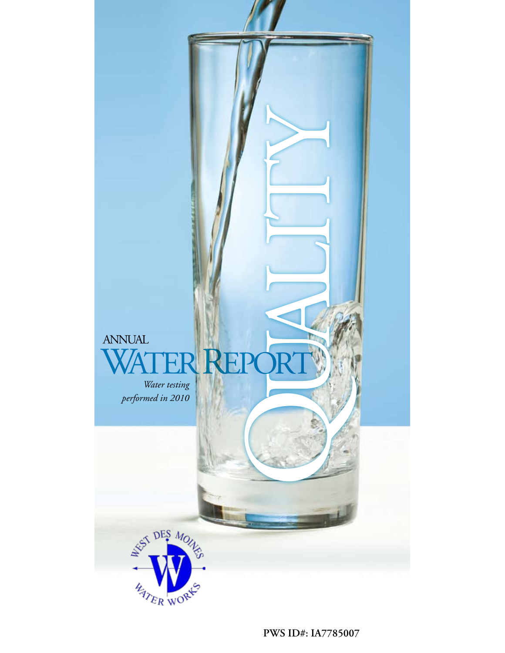

**PWS ID#: IA7785007**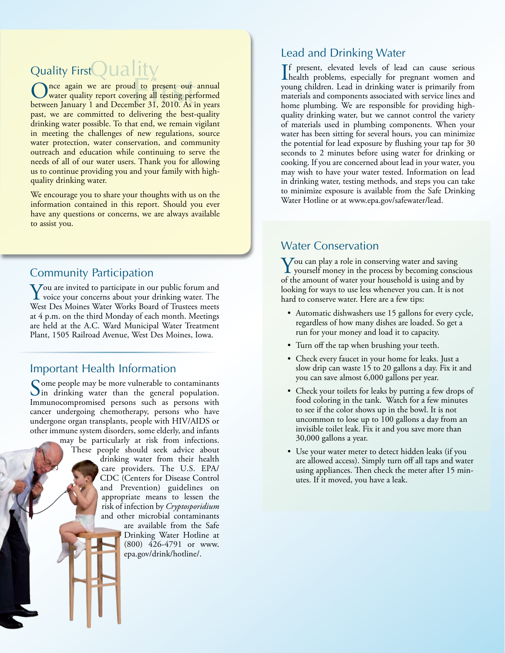# Quality FirstQUality

Once again we are proud to present our annual<br>between January 1 and December 31, 2010. As in years nce again we are proud to present our annual water quality report covering all testing performed past, we are committed to delivering the best-quality drinking water possible. To that end, we remain vigilant in meeting the challenges of new regulations, source water protection, water conservation, and community outreach and education while continuing to serve the needs of all of our water users. Thank you for allowing us to continue providing you and your family with highquality drinking water.

We encourage you to share your thoughts with us on the information contained in this report. Should you ever have any questions or concerns, we are always available to assist you.

# Community Participation

**Y**ou are invited to participate in our public forum and<br>voice your concerns about your drinking water. The<br>West Des Maines Water Washe Baard of Trustees maste West Des Moines Water Works Board of Trustees meets at 4 p.m. on the third Monday of each month. Meetings are held at the A.C. Ward Municipal Water Treatment Plant, 1505 Railroad Avenue, West Des Moines, Iowa.

# Important Health Information

Some people may be more vulnerable to contaminants  $\bigcup$  in drinking water than the general population. Immunocompromised persons such as persons with cancer undergoing chemotherapy, persons who have undergone organ transplants, people with HIV/AIDS or other immune system disorders, some elderly, and infants

may be particularly at risk from infections. These people should seek advice about drinking water from their health care providers. The U.S. EPA/ CDC (Centers for Disease Control and Prevention) guidelines on appropriate means to lessen the risk of infection by *Cryptosporidium* and other microbial contaminants

are available from the Safe Drinking Water Hotline at (800) 426-4791 or www. epa.gov/drink/hotline/.

# Lead and Drinking Water

If present, elevated levels of lead can cause serious<br>health problems, especially for pregnant women and f present, elevated levels of lead can cause serious young children. Lead in drinking water is primarily from materials and components associated with service lines and home plumbing. We are responsible for providing highquality drinking water, but we cannot control the variety of materials used in plumbing components. When your water has been sitting for several hours, you can minimize the potential for lead exposure by flushing your tap for 30 seconds to 2 minutes before using water for drinking or cooking. If you are concerned about lead in your water, you may wish to have your water tested. Information on lead in drinking water, testing methods, and steps you can take to minimize exposure is available from the Safe Drinking Water Hotline or at www.epa.gov/safewater/lead.

# Water Conservation

 $\sum$  you can play a role in conserving water and saving<br>yourself money in the process by becoming conscious<br> $\sum_{n=1}^{\infty}$ of the amount of water your household is using and by looking for ways to use less whenever you can. It is not hard to conserve water. Here are a few tips:

- Automatic dishwashers use 15 gallons for every cycle, regardless of how many dishes are loaded. So get a run for your money and load it to capacity.
- Turn off the tap when brushing your teeth.
- Check every faucet in your home for leaks. Just a slow drip can waste 15 to 20 gallons a day. Fix it and you can save almost 6,000 gallons per year.
- Check your toilets for leaks by putting a few drops of food coloring in the tank. Watch for a few minutes to see if the color shows up in the bowl. It is not uncommon to lose up to 100 gallons a day from an invisible toilet leak. Fix it and you save more than 30,000 gallons a year.
- Use your water meter to detect hidden leaks (if you are allowed access). Simply turn off all taps and water using appliances. Then check the meter after 15 minutes. If it moved, you have a leak.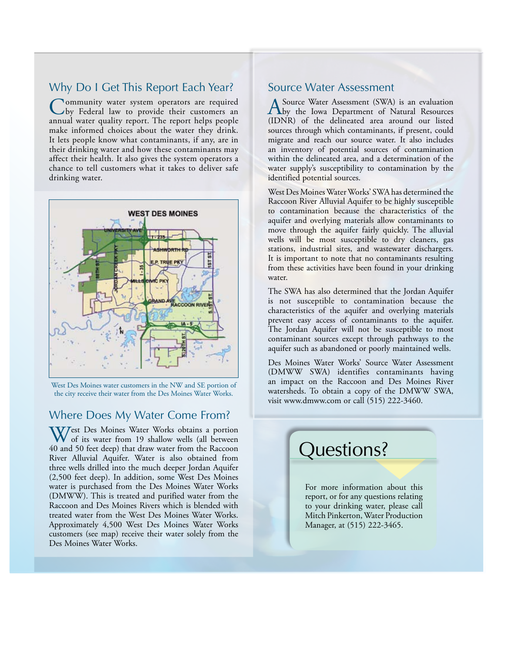### Why Do I Get This Report Each Year?

Community water system operators are required by Federal law to provide their customers an annual water quality report. The report helps people make informed choices about the water they drink. It lets people know what contaminants, if any, are in their drinking water and how these contaminants may affect their health. It also gives the system operators a chance to tell customers what it takes to deliver safe drinking water.



West Des Moines water customers in the NW and SE portion of **an** impact on the the city receive their water from the Des Moines Water Works. Water sheds. To obtai

#### Where Does My Water Come From?

West Des Moines Water Works obtains a portion of its water from 19 shallow wells (all between 40 and 50 feet deep) that draw water from the Raccoon River Alluvial Aquifer. Water is also obtained from three wells drilled into the much deeper Jordan Aquifer (2,500 feet deep). In addition, some West Des Moines water is purchased from the Des Moines Water Works (DMWW). This is treated and purified water from the Raccoon and Des Moines Rivers which is blended with treated water from the West Des Moines Water Works. Approximately 4,500 West Des Moines Water Works customers (see map) receive their water solely from the Des Moines Water Works.

#### Source Water Assessment

A Source Water Assessment (SWA) is an evaluation<br>
by the Iowa Department of Natural Resources (IDNR) of the delineated area around our listed sources through which contaminants, if present, could migrate and reach our source water. It also includes an inventory of potential sources of contamination within the delineated area, and a determination of the water supply's susceptibility to contamination by the identified potential sources.

West Des Moines Water Works' SWA has determined the Raccoon River Alluvial Aquifer to be highly susceptible to contamination because the characteristics of the aquifer and overlying materials allow contaminants to move through the aquifer fairly quickly. The alluvial wells will be most susceptible to dry cleaners, gas stations, industrial sites, and wastewater dischargers. It is important to note that no contaminants resulting from these activities have been found in your drinking water.

The SWA has also determined that the Jordan Aquifer is not susceptible to contamination because the characteristics of the aquifer and overlying materials prevent easy access of contaminants to the aquifer. The Jordan Aquifer will not be susceptible to most contaminant sources except through pathways to the aquifer such as abandoned or poorly maintained wells.

visit www.dmww.com or call (515) 222-3460. Des Moines Water Works' Source Water Assessment (DMWW SWA) identifies contaminants having an impact on the Raccoon and Des Moines River watersheds. To obtain a copy of the DMWW SWA,

# Questions?

For more information about this report, or for any questions relating to your drinking water, please call Mitch Pinkerton, Water Production Manager, at (515) 222-3465.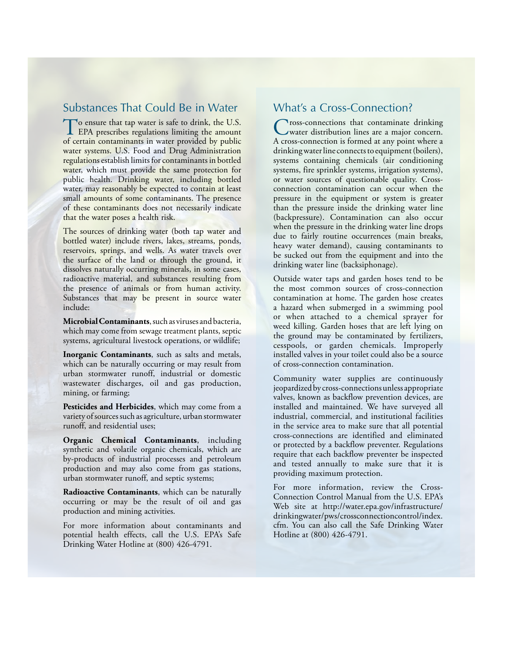### Substances That Could Be in Water

To ensure that tap water is safe to drink, the U.S.<br>EPA prescribes regulations limiting the amount of certain contaminants in water provided by public water systems. U.S. Food and Drug Administration regulations establish limits for contaminants in bottled water, which must provide the same protection for public health. Drinking water, including bottled water, may reasonably be expected to contain at least small amounts of some contaminants. The presence of these contaminants does not necessarily indicate that the water poses a health risk.

The sources of drinking water (both tap water and bottled water) include rivers, lakes, streams, ponds, reservoirs, springs, and wells. As water travels over the surface of the land or through the ground, it dissolves naturally occurring minerals, in some cases, radioactive material, and substances resulting from the presence of animals or from human activity. Substances that may be present in source water include:

**Microbial Contaminants**, such as viruses and bacteria, which may come from sewage treatment plants, septic systems, agricultural livestock operations, or wildlife;

**Inorganic Contaminants**, such as salts and metals, which can be naturally occurring or may result from urban stormwater runoff, industrial or domestic wastewater discharges, oil and gas production, mining, or farming;

**Pesticides and Herbicides**, which may come from a variety of sources such as agriculture, urban stormwater runoff, and residential uses;

**Organic Chemical Contaminants**, including synthetic and volatile organic chemicals, which are by-products of industrial processes and petroleum production and may also come from gas stations, urban stormwater runoff, and septic systems;

**Radioactive Contaminants**, which can be naturally occurring or may be the result of oil and gas production and mining activities.

For more information about contaminants and potential health effects, call the U.S. EPA's Safe Drinking Water Hotline at (800) 426-4791.

## What's a Cross-Connection?

Cross-connections that contaminate drinking water distribution lines are a major concern. A cross-connection is formed at any point where a drinking water line connects to equipment (boilers), systems containing chemicals (air conditioning systems, fire sprinkler systems, irrigation systems), or water sources of questionable quality. Crossconnection contamination can occur when the pressure in the equipment or system is greater than the pressure inside the drinking water line (backpressure). Contamination can also occur when the pressure in the drinking water line drops due to fairly routine occurrences (main breaks, heavy water demand), causing contaminants to be sucked out from the equipment and into the drinking water line (backsiphonage).

Outside water taps and garden hoses tend to be the most common sources of cross-connection contamination at home. The garden hose creates a hazard when submerged in a swimming pool or when attached to a chemical sprayer for weed killing. Garden hoses that are left lying on the ground may be contaminated by fertilizers, cesspools, or garden chemicals. Improperly installed valves in your toilet could also be a source of cross-connection contamination.

Community water supplies are continuously jeopardized by cross-connections unless appropriate valves, known as backflow prevention devices, are installed and maintained. We have surveyed all industrial, commercial, and institutional facilities in the service area to make sure that all potential cross-connections are identified and eliminated or protected by a backflow preventer. Regulations require that each backflow preventer be inspected and tested annually to make sure that it is providing maximum protection.

For more information, review the Cross-Connection Control Manual from the U.S. EPA's Web site at http://water.epa.gov/infrastructure/ drinkingwater/pws/crossconnectioncontrol/index. cfm. You can also call the Safe Drinking Water Hotline at (800) 426-4791.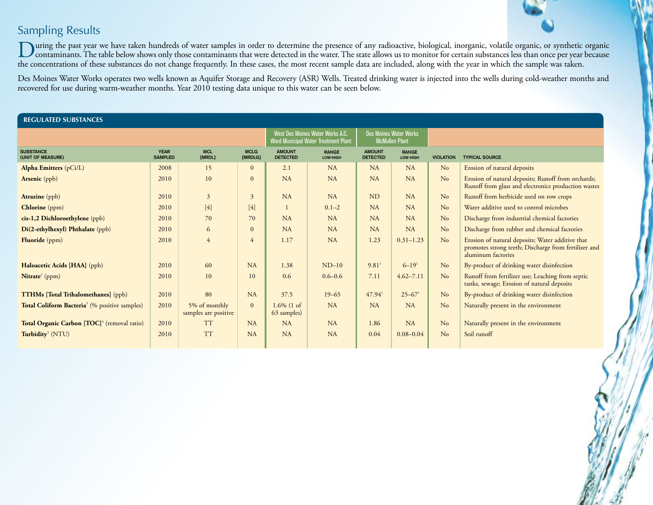# Sampling Results

During the past year we have taken hundreds of water samples in order to determine the presence of any radioactive, biological, inorganic, volatile organic, or synthetic organic<br>
contaminants. The table below shows only th the concentrations of these substances do not change frequently. In these cases, the most recent sample data are included, along with the year in which the sample was taken.

Des Moines Water Works operates two wells known as Aquifer Storage and Recovery (ASR) Wells. Treated drinking water is injected into the wells during cold-weather months and recovered for use during warm-weather months. Year 2010 testing data unique to this water can be seen below.

| <b>REGULATED SUBSTANCES</b>                               |                               |                                       |                        |                                  |                                                                          |                                  |                                                        |                  |                                                                                                                                |  |  |  |
|-----------------------------------------------------------|-------------------------------|---------------------------------------|------------------------|----------------------------------|--------------------------------------------------------------------------|----------------------------------|--------------------------------------------------------|------------------|--------------------------------------------------------------------------------------------------------------------------------|--|--|--|
|                                                           |                               |                                       |                        |                                  | West Des Moines Water Works A.C.<br>Ward Municipal Water Treatment Plant |                                  | <b>Des Moines Water Works</b><br><b>McMullen Plant</b> |                  |                                                                                                                                |  |  |  |
| <b>SUBSTANCE</b><br>(UNIT OF MEASURE)                     | <b>YEAR</b><br><b>SAMPLED</b> | <b>MCL</b><br>[MRDL]                  | <b>MCLG</b><br>[MRDLG] | <b>AMOUNT</b><br><b>DETECTED</b> | <b>RANGE</b><br>LOW-HIGH                                                 | <b>AMOUNT</b><br><b>DETECTED</b> | <b>RANGE</b><br>LOW-HIGH                               | <b>VIOLATION</b> | <b>TYPICAL SOURCE</b>                                                                                                          |  |  |  |
| Alpha Emitters (pCi/L)                                    | 2008                          | 15                                    | $\overline{0}$         | 2.1                              | <b>NA</b>                                                                | NA                               | NA                                                     | No               | Erosion of natural deposits                                                                                                    |  |  |  |
| Arsenic (ppb)                                             | 2010                          | 10                                    | $\Omega$               | <b>NA</b>                        | <b>NA</b>                                                                | NA                               | NA                                                     | No               | Erosion of natural deposits; Runoff from orchards;<br>Runoff from glass and electronics production wastes                      |  |  |  |
| <b>Atrazine</b> (ppb)                                     | 2010                          | $\overline{3}$                        | 3                      | <b>NA</b>                        | <b>NA</b>                                                                | <b>ND</b>                        | NA                                                     | No               | Runoff from herbicide used on row crops                                                                                        |  |  |  |
| <b>Chlorine</b> (ppm)                                     | 2010                          | [4]                                   | [4]                    | $\mathbf{1}$                     | $0.1 - 2$                                                                | NA                               | NA                                                     | No               | Water additive used to control microbes                                                                                        |  |  |  |
| cis-1,2 Dichloroethylene (ppb)                            | 2010                          | 70                                    | 70                     | <b>NA</b>                        | <b>NA</b>                                                                | <b>NA</b>                        | <b>NA</b>                                              | No               | Discharge from industrial chemical factories                                                                                   |  |  |  |
| Di(2-ethylhexyl) Phthalate (ppb)                          | 2010                          | 6                                     | $\overline{0}$         | <b>NA</b>                        | <b>NA</b>                                                                | NA                               | NA                                                     | No               | Discharge from rubber and chemical factories                                                                                   |  |  |  |
| Fluoride (ppm)                                            | 2010                          | $\overline{4}$                        | 4                      | 1.17                             | <b>NA</b>                                                                | 1.23                             | $0.31 - 1.23$                                          | No               | Erosion of natural deposits; Water additive that<br>promotes strong teeth; Discharge from fertilizer and<br>aluminum factories |  |  |  |
| Haloacetic Acids [HAA] (ppb)                              | 2010                          | 60                                    | NA                     | 1.38                             | $ND-10$                                                                  | $9.81$ <sup>1</sup>              | $6 - 191$                                              | No               | By-product of drinking water disinfection                                                                                      |  |  |  |
| Nitrate <sup>2</sup> (ppm)                                | 2010                          | 10                                    | 10                     | 0.6                              | $0.6 - 0.6$                                                              | 7.11                             | $4.62 - 7.11$                                          | No               | Runoff from fertilizer use; Leaching from septic<br>tanks, sewage; Erosion of natural deposits                                 |  |  |  |
| <b>TTHMs [Total Trihalomethanes]</b> (ppb)                | 2010                          | 80                                    | NA                     | 37.5                             | $19 - 65$                                                                | $47.94$ <sup>1</sup>             | $25 - 67$ <sup>1</sup>                                 | No               | By-product of drinking water disinfection                                                                                      |  |  |  |
| Total Coliform Bacteria <sup>3</sup> (% positive samples) | 2010                          | 5% of monthly<br>samples are positive | $\overline{0}$         | $1.6\%$ (1 of<br>63 samples)     | <b>NA</b>                                                                | <b>NA</b>                        | NA                                                     | No               | Naturally present in the environment                                                                                           |  |  |  |
| Total Organic Carbon [TOC] <sup>4</sup> (removal ratio)   | 2010                          | <b>TT</b>                             | NA                     | NA                               | <b>NA</b>                                                                | 1.86                             | NA                                                     | No               | Naturally present in the environment                                                                                           |  |  |  |
| Turbidity <sup>5</sup> (NTU)                              | 2010                          | <b>TT</b>                             | NA                     | <b>NA</b>                        | NA                                                                       | 0.04                             | $0.08 - 0.04$                                          | No               | Soil runoff                                                                                                                    |  |  |  |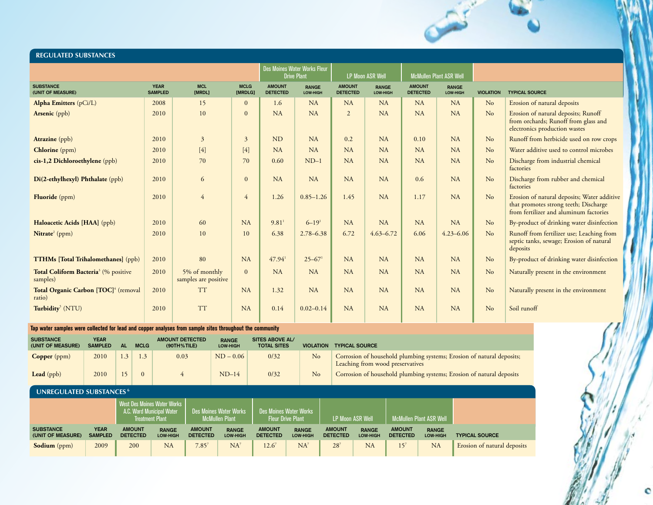#### **REGULATED SUBSTANCES**

|                                                              |                               |                                       |                        |                                  | Des Moines Water Works Fleur<br><b>Drive Plant</b> |                                  | <b>LP Moon ASR Well</b>  |                                  | <b>McMullen Plant ASR Well</b> |                  |                                                                                                                                |  |
|--------------------------------------------------------------|-------------------------------|---------------------------------------|------------------------|----------------------------------|----------------------------------------------------|----------------------------------|--------------------------|----------------------------------|--------------------------------|------------------|--------------------------------------------------------------------------------------------------------------------------------|--|
| <b>SUBSTANCE</b><br>(UNIT OF MEASURE)                        | <b>YEAR</b><br><b>SAMPLED</b> | <b>MCL</b><br>[MRDL]                  | <b>MCLG</b><br>[MRDLG] | <b>AMOUNT</b><br><b>DETECTED</b> | <b>RANGE</b><br>LOW-HIGH                           | <b>AMOUNT</b><br><b>DETECTED</b> | <b>RANGE</b><br>LOW-HIGH | <b>AMOUNT</b><br><b>DETECTED</b> | <b>RANGE</b><br>LOW-HIGH       | <b>VIOLATION</b> | <b>TYPICAL SOURCE</b>                                                                                                          |  |
| <b>Alpha Emitters</b> (pCi/L)                                | 2008                          | 15                                    | $\mathbf{0}$           | 1.6                              | <b>NA</b>                                          | <b>NA</b>                        | NA                       | NA                               | NA                             | No               | Erosion of natural deposits                                                                                                    |  |
| <b>Arsenic</b> (ppb)                                         | 2010                          | 10                                    | $\mathbf{0}$           | NA                               | NA                                                 | $\overline{2}$                   | NA                       | NA                               | NA                             | No               | Erosion of natural deposits; Runoff<br>from orchards; Runoff from glass and<br>electronics production wastes                   |  |
| Atrazine (ppb)                                               | 2010                          | $\overline{3}$                        | $\overline{3}$         | <b>ND</b>                        | NA                                                 | 0.2                              | NA                       | 0.10                             | NA                             | No               | Runoff from herbicide used on row crops                                                                                        |  |
| <b>Chlorine</b> (ppm)                                        | 2010                          | $[4]$                                 | [4]                    | NA                               | <b>NA</b>                                          | <b>NA</b>                        | NA                       | NA                               | NA                             | No               | Water additive used to control microbes                                                                                        |  |
| cis-1,2 Dichloroethylene (ppb)                               | 2010                          | 70                                    | 70                     | 0.60                             | $ND-1$                                             | <b>NA</b>                        | NA                       | NA                               | NA                             | No               | Discharge from industrial chemical<br>factories                                                                                |  |
| Di(2-ethylhexyl) Phthalate (ppb)                             | 2010                          | 6                                     | $\overline{0}$         | NA                               | NA                                                 | NA                               | NA                       | 0.6                              | NA                             | No               | Discharge from rubber and chemical<br>factories                                                                                |  |
| <b>Fluoride</b> (ppm)                                        | 2010                          | $\overline{4}$                        | $\overline{4}$         | 1.26                             | $0.85 - 1.26$                                      | 1.45                             | NA                       | 1.17                             | NA                             | No               | Erosion of natural deposits; Water additive<br>that promotes strong teeth; Discharge<br>from fertilizer and aluminum factories |  |
| Haloacetic Acids [HAA] (ppb)                                 | 2010                          | 60                                    | NA                     | $9.81$ <sup>1</sup>              | $6 - 19$ <sup>1</sup>                              | NA                               | NA                       | NA                               | NA                             | No               | By-product of drinking water disinfection                                                                                      |  |
| $N$ itrate <sup>2</sup> (ppm)                                | 2010                          | 10                                    | 10                     | 6.38                             | $2.78 - 6.38$                                      | 6.72                             | $4.63 - 6.72$            | 6.06                             | $4.23 - 6.06$                  | No               | Runoff from fertilizer use; Leaching from<br>septic tanks, sewage; Erosion of natural<br>deposits                              |  |
| <b>TTHMs</b> [Total Trihalomethanes] (ppb)                   | 2010                          | 80                                    | NA                     | $47.94$ <sup>1</sup>             | $25 - 67$ <sup>1</sup>                             | NA                               | NA                       | NA                               | NA                             | No               | By-product of drinking water disinfection                                                                                      |  |
| Total Coliform Bacteria <sup>3</sup> (% positive<br>samples) | 2010                          | 5% of monthly<br>samples are positive | $\theta$               | NA                               | <b>NA</b>                                          | NA                               | NA                       | NA                               | NA                             | No               | Naturally present in the environment                                                                                           |  |
| Total Organic Carbon [TOC] <sup>4</sup> (removal<br>ratio)   | 2010                          | <b>TT</b>                             | NA                     | 1.32                             | NA                                                 | NA                               | NA                       | NA                               | NA                             | No               | Naturally present in the environment                                                                                           |  |
| Turbidity <sup>5</sup> (NTU)                                 | 2010                          | <b>TT</b>                             | NA                     | 0.14                             | $0.02 - 0.14$                                      | NA                               | <b>NA</b>                | NA                               | NA                             | No               | Soil runoff                                                                                                                    |  |

#### **Tap water samples were collected for lead and copper analyses from sample sites throughout the community**

| <b>SUBSTANCE</b><br>(UNIT OF MEASURE) | YEAR<br><b>SAMPLED</b> | AL  | <b>MCLG</b> | <b>AMOUNT DETECTED</b><br>$(90TH%$ TILE) | <b>RANGE</b><br>LOW-HIGH | <b>SITES ABOVE AL/</b><br><b>TOTAL SITES</b> | <b>VIOLATION</b> | <b>TYPICAL SOURCE</b>                                                                                     |
|---------------------------------------|------------------------|-----|-------------|------------------------------------------|--------------------------|----------------------------------------------|------------------|-----------------------------------------------------------------------------------------------------------|
| Copper (ppm)                          | 2010                   | 1.3 |             | 0.03                                     | $ND - 0.06$              | 0/32                                         | No               | Corrosion of household plumbing systems; Erosion of natural deposits;<br>Leaching from wood preservatives |
| Lead $(ppb)$                          | 2010                   | 15  |             |                                          | $ND-14$                  | 0/32                                         | No               | Corrosion of household plumbing systems; Erosion of natural deposits                                      |

#### **UNREGULATED SUBSTANCES 6**

|                                       |                               | West Des Moines Water Works I<br><b>A.C. Ward Municipal Water</b><br><b>Treatment Plant</b> |                          | <b>Des Moines Water Works</b><br><b>McMullen Plant</b> |                                 | <b>Des Moines Water Works</b><br><b>Fleur Drive Plant</b> |                                 | <b>LP Moon ASR Well</b>          |                                 | l McMullen Plant ASR Well <sup>1</sup> |                                 |                             |
|---------------------------------------|-------------------------------|---------------------------------------------------------------------------------------------|--------------------------|--------------------------------------------------------|---------------------------------|-----------------------------------------------------------|---------------------------------|----------------------------------|---------------------------------|----------------------------------------|---------------------------------|-----------------------------|
| <b>SUBSTANCE</b><br>(UNIT OF MEASURE) | <b>YEAR</b><br><b>SAMPLED</b> | <b>AMOUNT</b><br><b>DETECTED</b>                                                            | <b>RANGE</b><br>LOW-HIGH | <b>AMOUNT</b><br><b>DETECTED</b>                       | <b>RANGE</b><br><b>LOW-HIGH</b> | <b>AMOUNT</b><br><b>DETECTED</b>                          | <b>RANGE</b><br><b>LOW-HIGH</b> | <b>AMOUNT</b><br><b>DETECTED</b> | <b>RANGE</b><br><b>LOW-HIGH</b> | <b>AMOUNT</b><br><b>DETECTED</b>       | <b>RANGE</b><br><b>LOW-HIGH</b> | <b>TYPICAL SOURCE</b>       |
| <b>Sodium</b> (ppm)                   | 2009                          | 200                                                                                         | NA                       | $7.85^{7}$                                             | NA                              | $12.6^7$                                                  | <b>NA</b>                       | $28^7$                           | NA                              | 15 <sup>7</sup>                        | <b>NA</b>                       | Erosion of natural deposits |